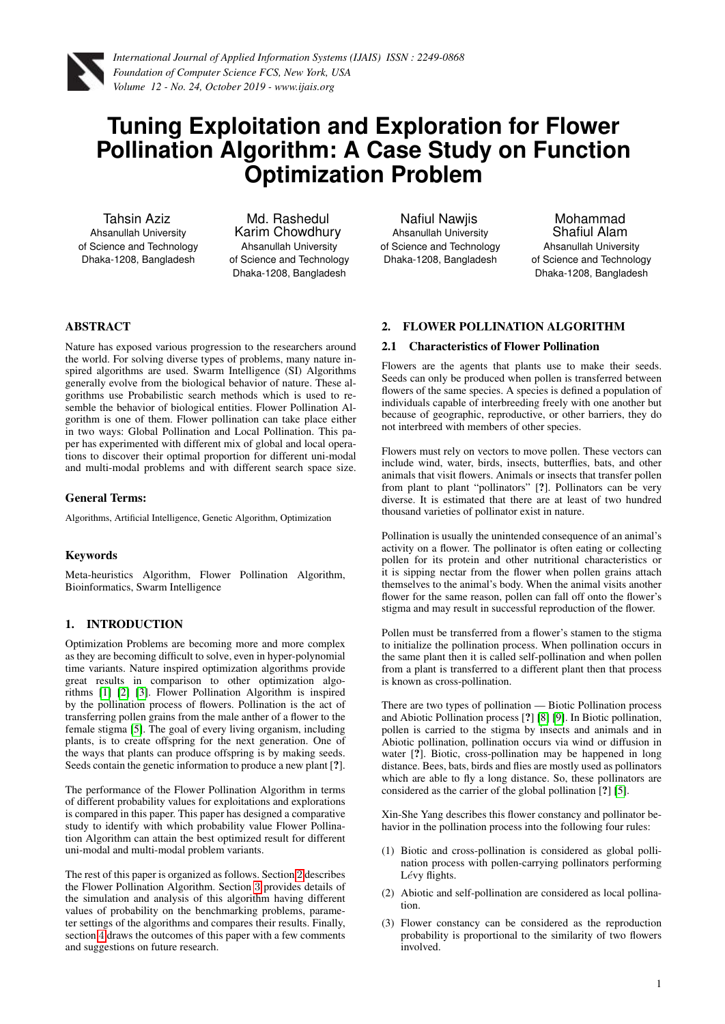<span id="page-0-1"></span>

# **Tuning Exploitation and Exploration for Flower Pollination Algorithm: A Case Study on Function Optimization Problem**

Tahsin Aziz Ahsanullah University of Science and Technology Dhaka-1208, Bangladesh

Md. Rashedul Karim Chowdhury Ahsanullah University of Science and Technology Dhaka-1208, Bangladesh

Nafiul Nawjis Ahsanullah University of Science and Technology Dhaka-1208, Bangladesh

Mohammad Shafiul Alam Ahsanullah University of Science and Technology Dhaka-1208, Bangladesh

# ABSTRACT

Nature has exposed various progression to the researchers around the world. For solving diverse types of problems, many nature inspired algorithms are used. Swarm Intelligence (SI) Algorithms generally evolve from the biological behavior of nature. These algorithms use Probabilistic search methods which is used to resemble the behavior of biological entities. Flower Pollination Algorithm is one of them. Flower pollination can take place either in two ways: Global Pollination and Local Pollination. This paper has experimented with different mix of global and local operations to discover their optimal proportion for different uni-modal and multi-modal problems and with different search space size.

## General Terms:

Algorithms, Artificial Intelligence, Genetic Algorithm, Optimization

# Keywords

Meta-heuristics Algorithm, Flower Pollination Algorithm, Bioinformatics, Swarm Intelligence

# 1. INTRODUCTION

Optimization Problems are becoming more and more complex as they are becoming difficult to solve, even in hyper-polynomial time variants. Nature inspired optimization algorithms provide great results in comparison to other optimization algorithms [\[1\]](#page-5-0) [\[2\]](#page-5-1) [\[3\]](#page-5-2). Flower Pollination Algorithm is inspired by the pollination process of flowers. Pollination is the act of transferring pollen grains from the male anther of a flower to the female stigma [\[5\]](#page-5-3). The goal of every living organism, including plants, is to create offspring for the next generation. One of the ways that plants can produce offspring is by making seeds. Seeds contain the genetic information to produce a new plant [?].

The performance of the Flower Pollination Algorithm in terms of different probability values for exploitations and explorations is compared in this paper. This paper has designed a comparative study to identify with which probability value Flower Pollination Algorithm can attain the best optimized result for different uni-modal and multi-modal problem variants.

The rest of this paper is organized as follows. Section [2](#page-0-0) describes the Flower Pollination Algorithm. Section [3](#page-1-0) provides details of the simulation and analysis of this algorithm having different values of probability on the benchmarking problems, parameter settings of the algorithms and compares their results. Finally, section [4](#page-5-4) draws the outcomes of this paper with a few comments and suggestions on future research.

# <span id="page-0-0"></span>2. FLOWER POLLINATION ALGORITHM

## 2.1 Characteristics of Flower Pollination

Flowers are the agents that plants use to make their seeds. Seeds can only be produced when pollen is transferred between flowers of the same species. A species is defined a population of individuals capable of interbreeding freely with one another but because of geographic, reproductive, or other barriers, they do not interbreed with members of other species.

Flowers must rely on vectors to move pollen. These vectors can include wind, water, birds, insects, butterflies, bats, and other animals that visit flowers. Animals or insects that transfer pollen from plant to plant "pollinators" [?]. Pollinators can be very diverse. It is estimated that there are at least of two hundred thousand varieties of pollinator exist in nature.

Pollination is usually the unintended consequence of an animal's activity on a flower. The pollinator is often eating or collecting pollen for its protein and other nutritional characteristics or it is sipping nectar from the flower when pollen grains attach themselves to the animal's body. When the animal visits another flower for the same reason, pollen can fall off onto the flower's stigma and may result in successful reproduction of the flower.

Pollen must be transferred from a flower's stamen to the stigma to initialize the pollination process. When pollination occurs in the same plant then it is called self-pollination and when pollen from a plant is transferred to a different plant then that process is known as cross-pollination.

There are two types of pollination — Biotic Pollination process and Abiotic Pollination process [?] [\[8\]](#page-5-5) [\[9\]](#page-5-6). In Biotic pollination, pollen is carried to the stigma by insects and animals and in Abiotic pollination, pollination occurs via wind or diffusion in water [?]. Biotic, cross-pollination may be happened in long distance. Bees, bats, birds and flies are mostly used as pollinators which are able to fly a long distance. So, these pollinators are considered as the carrier of the global pollination [?] [\[5\]](#page-5-3).

Xin-She Yang describes this flower constancy and pollinator behavior in the pollination process into the following four rules:

- (1) Biotic and cross-pollination is considered as global pollination process with pollen-carrying pollinators performing Lévy flights.
- (2) Abiotic and self-pollination are considered as local pollination.
- (3) Flower constancy can be considered as the reproduction probability is proportional to the similarity of two flowers involved.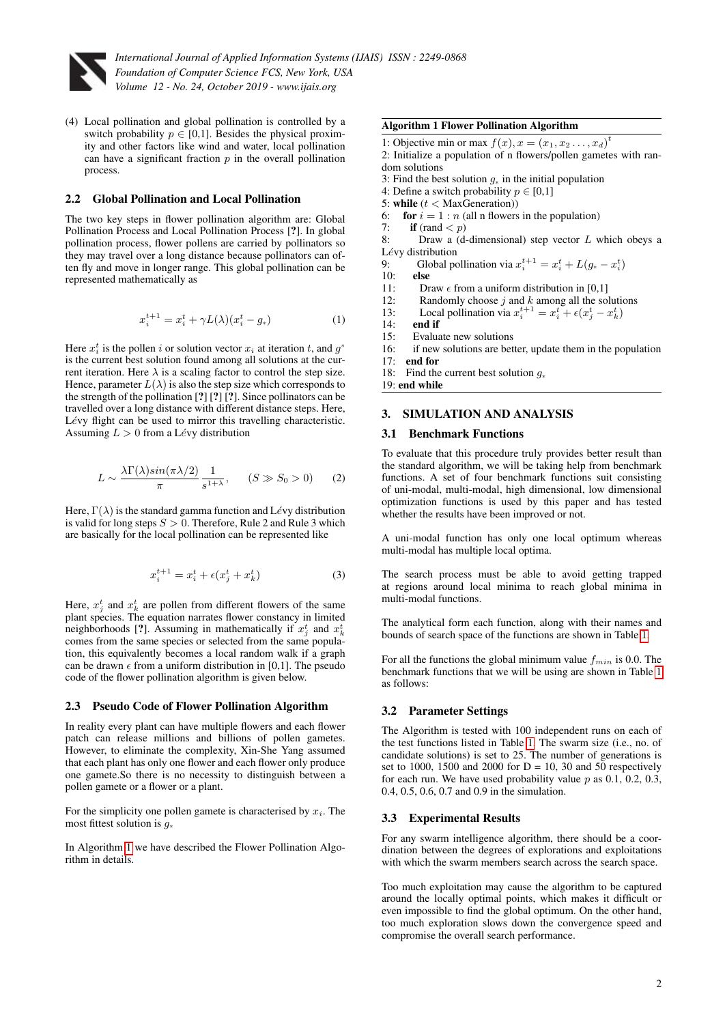

(4) Local pollination and global pollination is controlled by a switch probability  $p \in [0,1]$ . Besides the physical proximity and other factors like wind and water, local pollination can have a significant fraction  $p$  in the overall pollination process.

## 2.2 Global Pollination and Local Pollination

The two key steps in flower pollination algorithm are: Global Pollination Process and Local Pollination Process [?]. In global pollination process, flower pollens are carried by pollinators so they may travel over a long distance because pollinators can often fly and move in longer range. This global pollination can be represented mathematically as

$$
x_i^{t+1} = x_i^t + \gamma L(\lambda)(x_i^t - g_*)
$$
 (1)

Here  $x_i^t$  is the pollen i or solution vector  $x_i$  at iteration t, and  $g^*$ is the current best solution found among all solutions at the current iteration. Here  $\lambda$  is a scaling factor to control the step size. Hence, parameter  $L(\lambda)$  is also the step size which corresponds to the strength of the pollination [?] [?] [?]. Since pollinators can be travelled over a long distance with different distance steps. Here, Lévy flight can be used to mirror this travelling characteristic. Assuming  $L > 0$  from a Lévy distribution

$$
L \sim \frac{\lambda \Gamma(\lambda) sin(\pi \lambda/2)}{\pi} \frac{1}{s^{1+\lambda}}, \quad (S \gg S_0 > 0)
$$
 (2)

Here,  $\Gamma(\lambda)$  is the standard gamma function and Lévy distribution is valid for long steps  $S > 0$ . Therefore, Rule 2 and Rule 3 which are basically for the local pollination can be represented like

$$
x_i^{t+1} = x_i^t + \epsilon (x_j^t + x_k^t) \tag{3}
$$

Here,  $x_j^t$  and  $x_k^t$  are pollen from different flowers of the same plant species. The equation narrates flower constancy in limited neighborhoods [?]. Assuming in mathematically if  $x_j^t$  and  $x_k^t$ comes from the same species or selected from the same population, this equivalently becomes a local random walk if a graph can be drawn  $\epsilon$  from a uniform distribution in [0,1]. The pseudo code of the flower pollination algorithm is given below.

## 2.3 Pseudo Code of Flower Pollination Algorithm

In reality every plant can have multiple flowers and each flower patch can release millions and billions of pollen gametes. However, to eliminate the complexity, Xin-She Yang assumed that each plant has only one flower and each flower only produce one gamete.So there is no necessity to distinguish between a pollen gamete or a flower or a plant.

For the simplicity one pollen gamete is characterised by  $x_i$ . The most fittest solution is g<sup>∗</sup>

In Algorithm [1](#page-0-1) we have described the Flower Pollination Algorithm in details.

## Algorithm 1 Flower Pollination Algorithm

- 1: Objective min or max  $f(x)$ ,  $x = (x_1, x_2, \ldots, x_d)^t$
- 2: Initialize a population of n flowers/pollen gametes with random solutions
- 3: Find the best solution  $g_*$  in the initial population
- 4: Define a switch probability  $p \in [0,1]$
- 5: while  $(t <$  MaxGeneration))
- 6: for  $i = 1 : n$  (all n flowers in the population)
- 7: **if** (rand  $\lt p$ )
- 8: Draw a  $(d$ -dimensional) step vector  $L$  which obeys a Lévy distribution
- 9: Global pollination via  $x_i^{t+1} = x_i^t + L(g_* x_i^t)$
- 10: else
- 11: Draw  $\epsilon$  from a uniform distribution in [0,1]<br>12: Randomly choose *i* and *k* among all the so
- 12: Randomly choose  $j$  and  $k$  among all the solutions
- 13: Local pollination via  $x_i^{t+1} = x_i^t + \epsilon (x_j^t x_k^t)$
- 14: **end if**<br>15: Evalua
- Evaluate new solutions
- 16: if new solutions are better, update them in the population
- 17: end for
- 18: Find the current best solution g<sup>∗</sup>

19: end while

### <span id="page-1-0"></span>3. SIMULATION AND ANALYSIS

## 3.1 Benchmark Functions

To evaluate that this procedure truly provides better result than the standard algorithm, we will be taking help from benchmark functions. A set of four benchmark functions suit consisting of uni-modal, multi-modal, high dimensional, low dimensional optimization functions is used by this paper and has tested whether the results have been improved or not.

A uni-modal function has only one local optimum whereas multi-modal has multiple local optima.

The search process must be able to avoid getting trapped at regions around local minima to reach global minima in multi-modal functions.

The analytical form each function, along with their names and bounds of search space of the functions are shown in Table [1](#page-2-0).

For all the functions the global minimum value  $f_{min}$  is 0.0. The benchmark functions that we will be using are shown in Table [1](#page-2-0) as follows:

#### 3.2 Parameter Settings

The Algorithm is tested with 100 independent runs on each of the test functions listed in Table [1.](#page-2-0) The swarm size (i.e., no. of candidate solutions) is set to 25. The number of generations is set to 1000, 1500 and 2000 for  $D = 10$ , 30 and 50 respectively for each run. We have used probability value  $p$  as 0.1, 0.2, 0.3, 0.4, 0.5, 0.6, 0.7 and 0.9 in the simulation.

## 3.3 Experimental Results

For any swarm intelligence algorithm, there should be a coordination between the degrees of explorations and exploitations with which the swarm members search across the search space.

Too much exploitation may cause the algorithm to be captured around the locally optimal points, which makes it difficult or even impossible to find the global optimum. On the other hand, too much exploration slows down the convergence speed and compromise the overall search performance.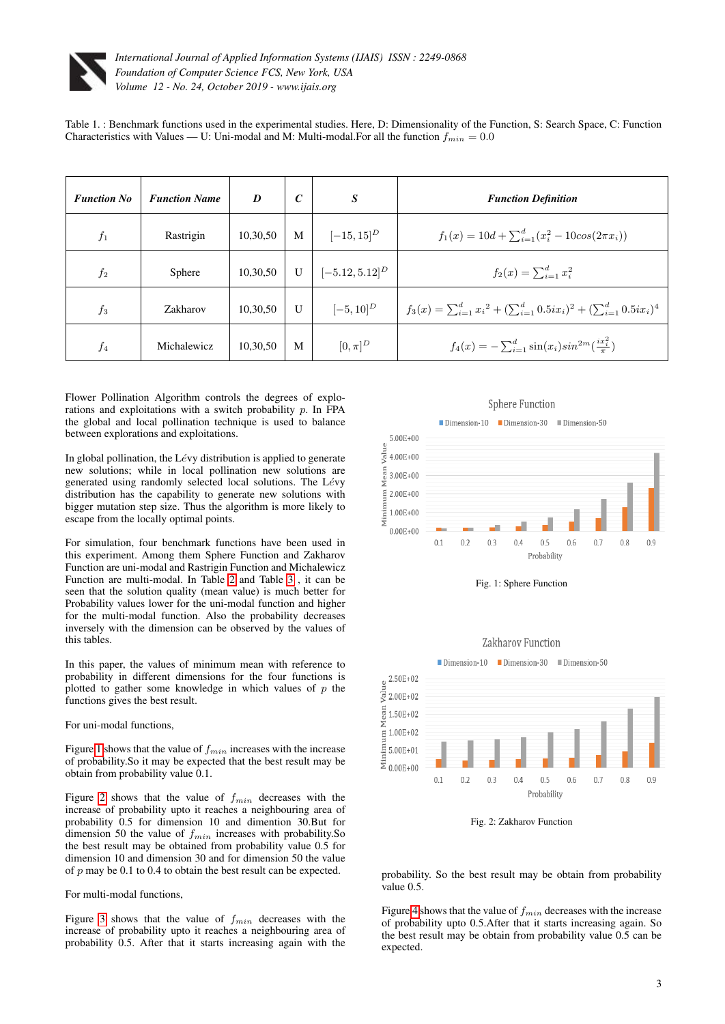

<span id="page-2-0"></span>Table 1. : Benchmark functions used in the experimental studies. Here, D: Dimensionality of the Function, S: Search Space, C: Function Characteristics with Values — U: Uni-modal and M: Multi-modal. For all the function  $f_{min} = 0.0$ 

| <b>Function No</b> | <b>Function Name</b> | D        | $\mathcal{C}$ | S                   | <b>Function Definition</b>                                                          |
|--------------------|----------------------|----------|---------------|---------------------|-------------------------------------------------------------------------------------|
| $f_1$              | Rastrigin            | 10,30,50 | M             | $[-15, 15]^{D}$     | $f_1(x) = 10d + \sum_{i=1}^d (x_i^2 - 10cos(2\pi x_i))$                             |
| $f_2$              | Sphere               | 10,30,50 | $\mathbf{U}$  | $[-5.12, 5.12]^{D}$ | $f_2(x) = \sum_{i=1}^d x_i^2$                                                       |
| $f_3$              | Zakharov             | 10,30,50 | $\mathbf{U}$  | $[-5, 10]^{D}$      | $f_3(x) = \sum_{i=1}^d x_i^2 + (\sum_{i=1}^d 0.5ix_i)^2 + (\sum_{i=1}^d 0.5ix_i)^4$ |
| $f_4$              | Michalewicz          | 10,30,50 | M             | $[0,\pi]^D$         | $f_4(x) = -\sum_{i=1}^d \sin(x_i) sin^{2m}(\frac{ix_i^2}{\pi})$                     |

Flower Pollination Algorithm controls the degrees of explorations and exploitations with a switch probability  $p$ . In FPA the global and local pollination technique is used to balance between explorations and exploitations.

In global pollination, the Lévy distribution is applied to generate new solutions; while in local pollination new solutions are generated using randomly selected local solutions. The Lévy distribution has the capability to generate new solutions with bigger mutation step size. Thus the algorithm is more likely to escape from the locally optimal points.

For simulation, four benchmark functions have been used in this experiment. Among them Sphere Function and Zakharov Function are uni-modal and Rastrigin Function and Michalewicz Function are multi-modal. In Table [2](#page-3-0) and Table [3](#page-4-0) , it can be seen that the solution quality (mean value) is much better for Probability values lower for the uni-modal function and higher for the multi-modal function. Also the probability decreases inversely with the dimension can be observed by the values of this tables.

In this paper, the values of minimum mean with reference to probability in different dimensions for the four functions is plotted to gather some knowledge in which values of  $p$  the functions gives the best result.

#### For uni-modal functions,

Figure [1](#page-2-1) shows that the value of  $f_{min}$  increases with the increase of probability.So it may be expected that the best result may be obtain from probability value 0.1.

Figure [2](#page-2-2) shows that the value of  $f_{min}$  decreases with the increase of probability upto it reaches a neighbouring area of probability 0.5 for dimension 10 and dimention 30.But for dimension 50 the value of  $f_{min}$  increases with probability. So the best result may be obtained from probability value 0.5 for dimension 10 and dimension 30 and for dimension 50 the value of  $p$  may be 0.1 to 0.4 to obtain the best result can be expected.

#### For multi-modal functions,

Figure [3](#page-5-7) shows that the value of  $f_{min}$  decreases with the increase of probability upto it reaches a neighbouring area of probability 0.5. After that it starts increasing again with the

<span id="page-2-1"></span>





<span id="page-2-2"></span>

Fig. 2: Zakharov Function

probability. So the best result may be obtain from probability value 0.5.

Figure [4](#page-5-8) shows that the value of  $f_{min}$  decreases with the increase of probability upto 0.5.After that it starts increasing again. So the best result may be obtain from probability value 0.5 can be expected.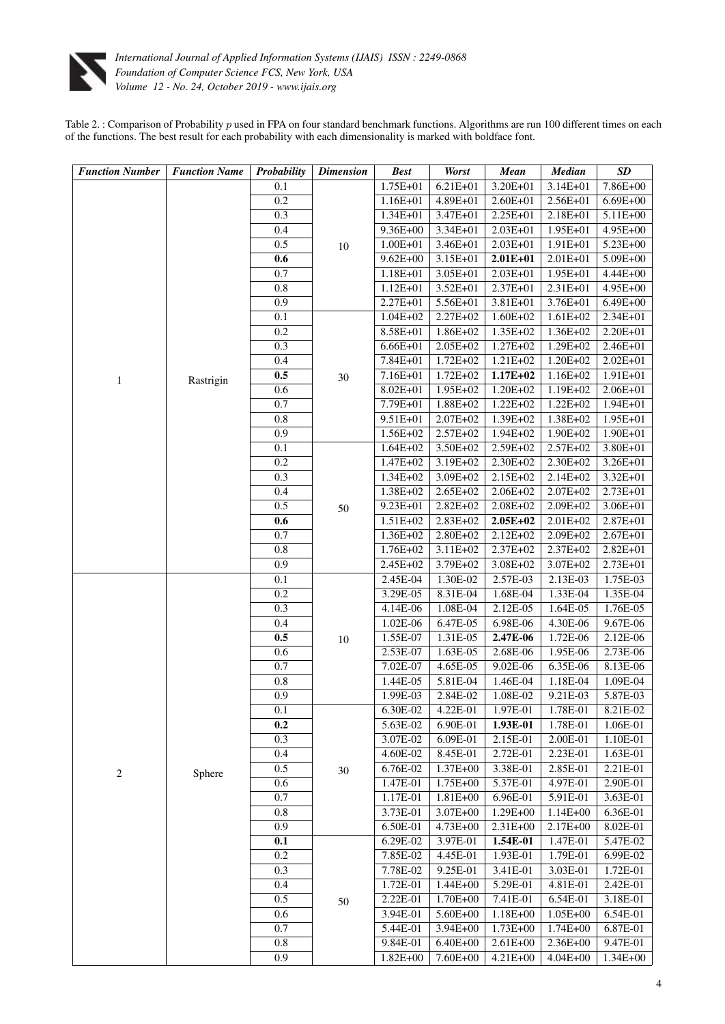

<span id="page-3-0"></span>Table 2. : Comparison of Probability  $p$  used in FPA on four standard benchmark functions. Algorithms are run 100 different times on each of the functions. The best result for each probability with each dimensionality is marked with boldface font.

| <b>Function Number</b> | <b>Function Name</b> | Probability | <b>Dimension</b>       | <b>Best</b>          | <b>Worst</b>         | <b>Mean</b>          | <b>Median</b>        | $\boldsymbol{SD}$    |
|------------------------|----------------------|-------------|------------------------|----------------------|----------------------|----------------------|----------------------|----------------------|
|                        |                      | 0.1         |                        | 1.75E+01             | $6.21E + 01$         | 3.20E+01             | 3.14E+01             | 7.86E+00             |
|                        |                      | 0.2         | $10\,$                 | 1.16E+01             | 4.89E+01             | 2.60E+01             | 2.56E+01             | $6.69E + 00$         |
|                        |                      | 0.3         |                        | 1.34E+01             | 3.47E+01             | 2.25E+01             | 2.18E+01             | 5.11E+00             |
|                        |                      | 0.4         |                        | 9.36E+00             | $3.34E + 01$         | 2.03E+01             | 1.95E+01             | 4.95E+00             |
|                        |                      | 0.5         |                        | 1.00E+01             | 3.46E+01             | 2.03E+01             | 1.91E+01             | 5.23E+00             |
|                        |                      | 0.6         |                        | $9.62E + 00$         | 3.15E+01             | $2.01E + 01$         | 2.01E+01             | 5.09E+00             |
|                        |                      | 0.7         |                        | 1.18E+01             | 3.05E+01             | 2.03E+01             | 1.95E+01             | 4.44E+00             |
|                        |                      | 0.8         |                        | 1.12E+01             | 3.52E+01             | 2.37E+01             | 2.31E+01             | 4.95E+00             |
|                        |                      | 0.9         |                        | 2.27E+01             | 5.56E+01             | 3.81E+01             | 3.76E+01             | 6.49E+00             |
|                        |                      | 0.1         | 30                     | $1.04E + 02$         | 2.27E+02             | 1.60E+02             | 1.61E+02             | 2.34E+01             |
|                        |                      | 0.2         |                        | 8.58E+01             | 1.86E+02             | 1.35E+02             | 1.36E+02             | 2.20E+01             |
|                        |                      | 0.3         |                        | 6.66E+01             | 2.05E+02             | 1.27E+02             | 1.29E+02             | 2.46E+01             |
|                        |                      | 0.4         |                        | 7.84E+01             | 1.72E+02             | 1.21E+02             | 1.20E+02             | $2.02E + 01$         |
| $\mathbf{1}$           | Rastrigin            | $0.5\,$     |                        | 7.16E+01             | 1.72E+02             | $1.17E + 02$         | 1.16E+02             | 1.91E+01             |
|                        |                      | 0.6         |                        | 8.02E+01             | 1.95E+02             | $1.20E + 02$         | 1.19E+02             | 2.06E+01             |
|                        |                      | 0.7         |                        | 7.79E+01             | 1.88E+02             | $1.22E + 02$         | 1.22E+02             | 1.94E+01             |
|                        |                      | 0.8         |                        | 9.51E+01             | 2.07E+02             | 1.39E+02             | 1.38E+02             | 1.95E+01             |
|                        |                      | 0.9         |                        | 1.56E+02             | $2.57E+02$           | 1.94E+02             | 1.90E+02             | 1.90E+01             |
|                        |                      | 0.1<br>0.2  |                        | $1.64E + 02$         | 3.50E+02             | 2.59E+02             | 2.57E+02             | 3.80E+01             |
|                        |                      | 0.3         |                        | 1.47E+02<br>1.34E+02 | 3.19E+02<br>3.09E+02 | 2.30E+02<br>2.15E+02 | 2.30E+02<br>2.14E+02 | 3.26E+01<br>3.32E+01 |
|                        |                      | 0.4         |                        | 1.38E+02             | 2.65E+02             | 2.06E+02             | 2.07E+02             | 2.73E+01             |
|                        |                      | 0.5         |                        | 9.23E+01             | 2.82E+02             | 2.08E+02             | 2.09E+02             | 3.06E+01             |
|                        |                      | $0.6\,$     | $50\,$                 | 1.51E+02             | 2.83E+02             | $2.05E + 02$         | 2.01E+02             | 2.87E+01             |
|                        |                      | 0.7         |                        | 1.36E+02             | 2.80E+02             | 2.12E+02             | 2.09E+02             | $2.67E + 01$         |
|                        |                      | 0.8         |                        | 1.76E+02             | 3.11E+02             | 2.37E+02             | 2.37E+02             | 2.82E+01             |
|                        |                      | 0.9         |                        | 2.45E+02             | 3.79E+02             | 3.08E+02             | 3.07E+02             | 2.73E+01             |
|                        |                      | 0.1         | $10\,$<br>$30\,$<br>50 | 2.45E-04             | 1.30E-02             | 2.57E-03             | 2.13E-03             | 1.75E-03             |
|                        |                      | 0.2         |                        | 3.29E-05             | 8.31E-04             | 1.68E-04             | 1.33E-04             | 1.35E-04             |
|                        |                      | 0.3         |                        | 4.14E-06             | 1.08E-04             | 2.12E-05             | 1.64E-05             | 1.76E-05             |
|                        |                      | 0.4         |                        | 1.02E-06             | 6.47E-05             | 6.98E-06             | 4.30E-06             | 9.67E-06             |
|                        |                      | $0.5\,$     |                        | 1.55E-07             | 1.31E-05             | 2.47E-06             | 1.72E-06             | 2.12E-06             |
|                        | Sphere               | 0.6         |                        | 2.53E-07             | 1.63E-05             | 2.68E-06             | 1.95E-06             | 2.73E-06             |
|                        |                      | 0.7         |                        | 7.02E-07             | 4.65E-05             | $9.02E-06$           | 6.35E-06             | 8.13E-06             |
|                        |                      | $\rm 0.8$   |                        | 1.44E-05             | 5.81E-04             | 1.46E-04             | 1.18E-04             | 1.09E-04             |
|                        |                      | 0.9         |                        | 1.99E-03             | 2.84E-02             | 1.08E-02             | 9.21E-03             | 5.87E-03             |
|                        |                      | 0.1         |                        | 6.30E-02             | 4.22E-01             | 1.97E-01             | 1.78E-01             | $8.21E-02$           |
|                        |                      | 0.2         |                        | 5.63E-02             | 6.90E-01             | 1.93E-01             | 1.78E-01             | 1.06E-01             |
|                        |                      | 0.3         |                        | 3.07E-02             | 6.09E-01             | 2.15E-01             | 2.00E-01             | 1.10E-01             |
|                        |                      | 0.4         |                        | 4.60E-02             | 8.45E-01<br>1.37E+00 | 2.72E-01             | 2.23E-01             | 1.63E-01             |
| $\overline{c}$         |                      | 0.5<br>0.6  |                        | 6.76E-02<br>1.47E-01 | 1.75E+00             | 3.38E-01<br>5.37E-01 | 2.85E-01<br>4.97E-01 | 2.21E-01<br>2.90E-01 |
|                        |                      | 0.7         |                        | 1.17E-01             | 1.81E+00             | 6.96E-01             | 5.91E-01             | 3.63E-01             |
|                        |                      | $0.8\,$     |                        | 3.73E-01             | 3.07E+00             | 1.29E+00             | $1.14E + 00$         | 6.36E-01             |
|                        |                      | 0.9         |                        | 6.50E-01             | 4.73E+00             | 2.31E+00             | 2.17E+00             | 8.02E-01             |
|                        |                      | 0.1         |                        | 6.29E-02             | 3.97E-01             | 1.54E-01             | 1.47E-01             | 5.47E-02             |
|                        |                      | 0.2         |                        | 7.85E-02             | 4.45E-01             | 1.93E-01             | 1.79E-01             | 6.99E-02             |
|                        |                      | 0.3         |                        | 7.78E-02             | 9.25E-01             | 3.41E-01             | 3.03E-01             | 1.72E-01             |
|                        |                      | 0.4         |                        | 1.72E-01             | 1.44E+00             | 5.29E-01             | 4.81E-01             | 2.42E-01             |
|                        |                      | 0.5         |                        | 2.22E-01             | 1.70E+00             | 7.41E-01             | 6.54E-01             | 3.18E-01             |
|                        |                      | 0.6         |                        | 3.94E-01             | 5.60E+00             | 1.18E+00             | 1.05E+00             | 6.54E-01             |
|                        |                      | 0.7         |                        | 5.44E-01             | 3.94E+00             | 1.73E+00             | $1.74E + 00$         | 6.87E-01             |
|                        |                      | $0.8\,$     |                        | 9.84E-01             | 6.40E+00             | $2.61E + 00$         | 2.36E+00             | 9.47E-01             |
|                        |                      | 0.9         |                        | 1.82E+00             | 7.60E+00             | 4.21E+00             | $4.04E + 00$         | 1.34E+00             |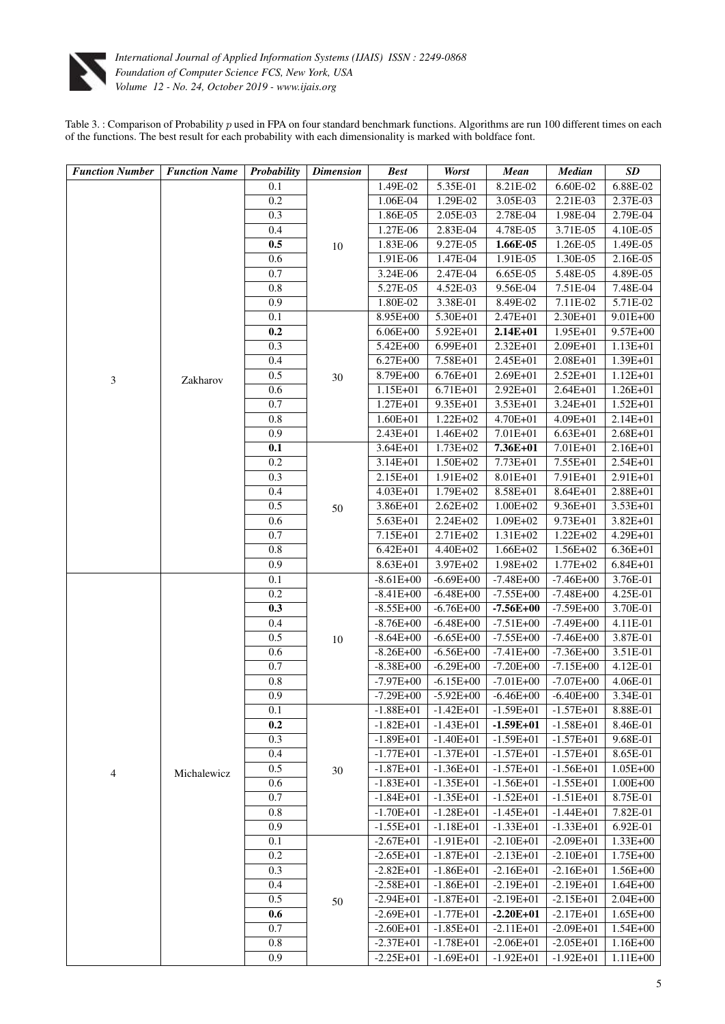

<span id="page-4-0"></span>Table  $3.$ : Comparison of Probability  $p$  used in FPA on four standard benchmark functions. Algorithms are run 100 different times on each of the functions. The best result for each probability with each dimensionality is marked with boldface font.

| <b>Function Number</b> | <b>Function Name</b> | Probability | <b>Dimension</b> | <b>Best</b>                  | <b>Worst</b>         | <b>Mean</b>          | <b>Median</b>              | SD                           |
|------------------------|----------------------|-------------|------------------|------------------------------|----------------------|----------------------|----------------------------|------------------------------|
|                        |                      | 0.1         |                  | 1.49E-02                     | 5.35E-01             | 8.21E-02             | 6.60E-02                   | 6.88E-02                     |
|                        |                      | 0.2         | 10               | 1.06E-04                     | 1.29E-02             | 3.05E-03             | 2.21E-03                   | 2.37E-03                     |
|                        |                      | 0.3         |                  | 1.86E-05                     | 2.05E-03             | 2.78E-04             | 1.98E-04                   | 2.79E-04                     |
|                        |                      | 0.4         |                  | 1.27E-06                     | 2.83E-04             | 4.78E-05             | 3.71E-05                   | 4.10E-05                     |
|                        |                      | 0.5         |                  | 1.83E-06                     | 9.27E-05             | 1.66E-05             | 1.26E-05                   | 1.49E-05                     |
|                        |                      | 0.6         |                  | 1.91E-06                     | 1.47E-04             | 1.91E-05             | 1.30E-05                   | 2.16E-05                     |
|                        |                      | 0.7         |                  | 3.24E-06                     | 2.47E-04             | 6.65E-05             | 5.48E-05                   | 4.89E-05                     |
|                        |                      | 0.8         |                  | 5.27E-05                     | 4.52E-03             | 9.56E-04             | 7.51E-04                   | 7.48E-04                     |
|                        |                      | 0.9         |                  | 1.80E-02                     | 3.38E-01             | 8.49E-02             | 7.11E-02                   | 5.71E-02                     |
|                        |                      | 0.1         | 30               | 8.95E+00                     | 5.30E+01             | 2.47E+01             | $2.30E + 01$               | $9.01E + 00$                 |
|                        |                      | 0.2         |                  | $6.06E + 00$                 | 5.92E+01             | $2.14E + 01$         | $1.95E + 01$               | $9.57E + 00$                 |
|                        |                      | 0.3         |                  | $5.42E + 00$                 | $6.99E + 01$         | 2.32E+01             | $2.09E + 01$               | $1.13E + 01$                 |
|                        |                      | 0.4         |                  | $6.27E + 00$                 | 7.58E+01             | 2.45E+01             | 2.08E+01                   | $1.39E + 01$                 |
| 3                      | Zakharov             | 0.5         |                  | 8.79E+00                     | 6.76E+01             | $2.69E + 01$         | $2.52E + 01$               | $1.12E + 01$                 |
|                        |                      | 0.6         |                  | $1.15E + 01$                 | 6.71E+01             | $2.92E+01$           | $2.64E + 01$               | $1.26E + 01$                 |
|                        |                      | 0.7         |                  | $1.27E + 01$                 | 9.35E+01             | 3.53E+01             | 3.24E+01                   | $1.52E + 01$                 |
|                        |                      | 0.8         |                  | $1.60E + 01$                 | $1.22E + 02$         | 4.70E+01             | 4.09E+01                   | 2.14E+01                     |
|                        |                      | 0.9         |                  | $2.43E + 01$                 | $1.46E + 02$         | 7.01E+01             | $6.63E + 01$               | 2.68E+01                     |
|                        |                      | 0.1         |                  | $3.64E + 01$                 | 1.73E+02             | 7.36E+01             | 7.01E+01                   | $2.16E + 01$                 |
|                        |                      | 0.2         |                  | $3.14E + 01$                 | $1.50E + 02$         | 7.73E+01             | 7.55E+01                   | 2.54E+01                     |
|                        |                      | 0.3         |                  | $2.15E+01$                   | 1.91E+02             | 8.01E+01             | 7.91E+01                   | 2.91E+01                     |
|                        |                      | 0.4         |                  | $4.03E + 01$                 | 1.79E+02             | 8.58E+01             | 8.64E+01                   | 2.88E+01                     |
|                        |                      | 0.5         | 50               | 3.86E+01                     | 2.62E+02             | $1.00E + 02$         | 9.36E+01                   | $3.53E + 01$                 |
|                        |                      | 0.6         |                  | $5.63E + 01$                 | $2.24E + 02$         | $1.09E + 02$         | 9.73E+01                   | $3.82E + 01$                 |
|                        |                      | 0.7         |                  | 7.15E+01                     | 2.71E+02             | 1.31E+02             | 1.22E+02                   | 4.29E+01                     |
|                        |                      | 0.8<br>0.9  |                  | $6.42E + 01$<br>$8.63E + 01$ | 4.40E+02<br>3.97E+02 | 1.66E+02<br>1.98E+02 | $1.56E+02$<br>$1.77E + 02$ | $6.36E + 01$<br>$6.84E + 01$ |
|                        |                      | 0.1         |                  | $-8.61E+00$                  | $-6.69E + 00$        | $-7.48E + 00$        | $-7.46E + 00$              | 3.76E-01                     |
|                        |                      | 0.2         |                  | $-8.41E+00$                  | $-6.48E + 00$        | $-7.55E + 00$        | $-7.48E + 00$              | 4.25E-01                     |
|                        |                      | 0.3         |                  | $-8.55E+00$                  | $-6.76E+00$          | $-7.56E+00$          | $-7.59E + 00$              | 3.70E-01                     |
|                        |                      | 0.4         |                  | $-8.76E+00$                  | $-6.48E + 00$        | $-7.51E + 00$        | $-7.49E + 00$              | 4.11E-01                     |
|                        |                      | 0.5         |                  | $-8.64E + 00$                | $-6.65E + 00$        | $-7.55E + 00$        | $-7.46E + 00$              | 3.87E-01                     |
|                        |                      | 0.6         | 10               | $-8.26E + 00$                | $-6.56E+00$          | $-7.41E+00$          | $-7.36E + 00$              | 3.51E-01                     |
|                        | Michalewicz          | 0.7         |                  | $-8.38E + 00$                | $-6.29E + 00$        | $-7.20E + 00$        | $-7.15E + 00$              | 4.12E-01                     |
|                        |                      | 0.8         |                  | $-7.97E + 00$                | $-6.15E+00$          | $-7.01E + 00$        | $-7.07E + 00$              | 4.06E-01                     |
|                        |                      | 0.9         |                  | $-7.29E + 00$                | $-5.92E+00$          | $-6.46E + 00$        | $-6.40E + 00$              | 3.34E-01                     |
|                        |                      | 0.1         | 30               | $-1.88E + 01$                | $-1.42E + 01$        | $-1.59E + 01$        | $-1.57E + 01$              | 8.88E-01                     |
|                        |                      | 0.2         |                  | $-1.82E + 01$                | $-1.43E + 01$        | $-1.59E+01$          | $-1.58E + 01$              | 8.46E-01                     |
|                        |                      | 0.3         |                  | $-1.89E + 01$                | $-1.40E + 01$        | $-1.59E + 01$        | $-1.57E + 01$              | 9.68E-01                     |
|                        |                      | 0.4         |                  | $-1.77E + 01$                | $-1.37E + 01$        | $-1.57E + 01$        | $-1.57E + 01$              | 8.65E-01                     |
| 4                      |                      | 0.5         |                  | $-1.87E + 01$                | $-1.36E + 01$        | $-1.57E+01$          | $-1.56E + 01$              | $1.05E + 00$                 |
|                        |                      | 0.6         |                  | $-1.83E + 01$                | $-1.35E + 01$        | $-1.56E + 01$        | $-1.55E+01$                | $1.00E + 00$                 |
|                        |                      | 0.7         |                  | $-1.84E + 01$                | $-1.35E + 01$        | $-1.52E+01$          | $-1.51E + 01$              | 8.75E-01                     |
|                        |                      | 0.8         |                  | $-1.70E + 01$                | $-1.28E + 01$        | $-1.45E + 01$        | $-1.44E + 01$              | 7.82E-01                     |
|                        |                      | 0.9         |                  | $-1.55E + 01$                | $-1.18E + 01$        | $-1.33E+01$          | $-1.33E + 01$              | 6.92E-01                     |
|                        |                      | 0.1         | 50               | $-2.67E + 01$                | $-1.91E+01$          | $-2.10E + 01$        | $-2.09E + 01$              | $1.33E + 00$                 |
|                        |                      | 0.2         |                  | $-2.65E+01$                  | $-1.87E + 01$        | $-2.13E+01$          | $-2.10E + 01$              | 1.75E+00                     |
|                        |                      | 0.3         |                  | $-2.82E + 01$                | $-1.86E + 01$        | $-2.16E + 01$        | $-2.16E + 01$              | $1.56E + 00$                 |
|                        |                      | 0.4         |                  | $-2.58E + 01$                | $-1.86E + 01$        | $-2.19E + 01$        | $-2.19E + 01$              | $1.64E + 00$                 |
|                        |                      | 0.5         |                  | $-2.94E + 01$                | $-1.87E + 01$        | $-2.19E + 01$        | $-2.15E+01$                | $2.04E + 00$                 |
|                        |                      | 0.6         |                  | $-2.69E + 01$                | $-1.77E + 01$        | $-2.20E+01$          | $-2.17E + 01$              | $1.65E + 00$                 |
|                        |                      | 0.7         |                  | $-2.60E + 01$                | $-1.85E + 01$        | $-2.11E+01$          | $-2.09E + 01$              | $1.54E + 00$                 |
|                        |                      | 0.8         |                  | $-2.37E + 01$                | $-1.78E + 01$        | $-2.06E + 01$        | $-2.05E + 01$              | $1.16E + 00$                 |
|                        |                      | 0.9         |                  | $-2.25E+01$                  | $-1.69E + 01$        | $-1.92E + 01$        | $-1.92E+01$                | $1.11E + 00$                 |